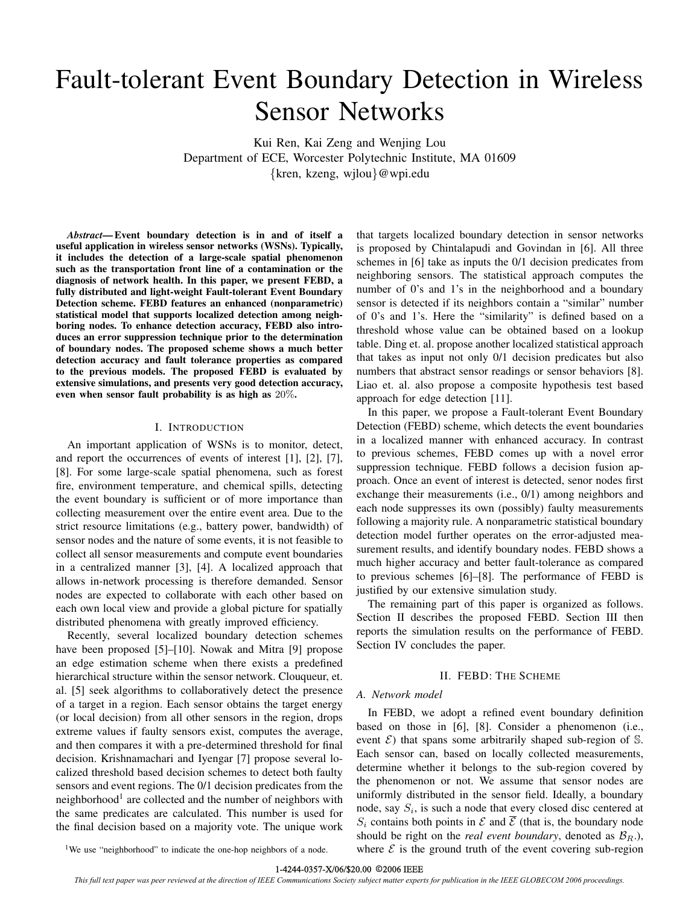# Fault-tolerant Event Boundary Detection in Wireless Sensor Networks

Kui Ren, Kai Zeng and Wenjing Lou Department of ECE, Worcester Polytechnic Institute, MA 01609 {kren, kzeng, wjlou}@wpi.edu

*Abstract*— Event boundary detection is in and of itself a useful application in wireless sensor networks (WSNs). Typically, it includes the detection of a large-scale spatial phenomenon such as the transportation front line of a contamination or the diagnosis of network health. In this paper, we present FEBD, a fully distributed and light-weight Fault-tolerant Event Boundary Detection scheme. FEBD features an enhanced (nonparametric) statistical model that supports localized detection among neighboring nodes. To enhance detection accuracy, FEBD also introduces an error suppression technique prior to the determination of boundary nodes. The proposed scheme shows a much better detection accuracy and fault tolerance properties as compared to the previous models. The proposed FEBD is evaluated by extensive simulations, and presents very good detection accuracy, even when sensor fault probability is as high as 20%.

# I. INTRODUCTION

An important application of WSNs is to monitor, detect, and report the occurrences of events of interest [1], [2], [7], [8]. For some large-scale spatial phenomena, such as forest fire, environment temperature, and chemical spills, detecting the event boundary is sufficient or of more importance than collecting measurement over the entire event area. Due to the strict resource limitations (e.g., battery power, bandwidth) of sensor nodes and the nature of some events, it is not feasible to collect all sensor measurements and compute event boundaries in a centralized manner [3], [4]. A localized approach that allows in-network processing is therefore demanded. Sensor nodes are expected to collaborate with each other based on each own local view and provide a global picture for spatially distributed phenomena with greatly improved efficiency.

Recently, several localized boundary detection schemes have been proposed [5]–[10]. Nowak and Mitra [9] propose an edge estimation scheme when there exists a predefined hierarchical structure within the sensor network. Clouqueur, et. al. [5] seek algorithms to collaboratively detect the presence of a target in a region. Each sensor obtains the target energy (or local decision) from all other sensors in the region, drops extreme values if faulty sensors exist, computes the average, and then compares it with a pre-determined threshold for final decision. Krishnamachari and Iyengar [7] propose several localized threshold based decision schemes to detect both faulty sensors and event regions. The 0/1 decision predicates from the neighborhood<sup>1</sup> are collected and the number of neighbors with the same predicates are calculated. This number is used for the final decision based on a majority vote. The unique work that targets localized boundary detection in sensor networks is proposed by Chintalapudi and Govindan in [6]. All three schemes in [6] take as inputs the 0/1 decision predicates from neighboring sensors. The statistical approach computes the number of 0's and 1's in the neighborhood and a boundary sensor is detected if its neighbors contain a "similar" number of 0's and 1's. Here the "similarity" is defined based on a threshold whose value can be obtained based on a lookup table. Ding et. al. propose another localized statistical approach that takes as input not only 0/1 decision predicates but also numbers that abstract sensor readings or sensor behaviors [8]. Liao et. al. also propose a composite hypothesis test based approach for edge detection [11].

In this paper, we propose a Fault-tolerant Event Boundary Detection (FEBD) scheme, which detects the event boundaries in a localized manner with enhanced accuracy. In contrast to previous schemes, FEBD comes up with a novel error suppression technique. FEBD follows a decision fusion approach. Once an event of interest is detected, senor nodes first exchange their measurements (i.e., 0/1) among neighbors and each node suppresses its own (possibly) faulty measurements following a majority rule. A nonparametric statistical boundary detection model further operates on the error-adjusted measurement results, and identify boundary nodes. FEBD shows a much higher accuracy and better fault-tolerance as compared to previous schemes [6]–[8]. The performance of FEBD is justified by our extensive simulation study.

The remaining part of this paper is organized as follows. Section II describes the proposed FEBD. Section III then reports the simulation results on the performance of FEBD. Section IV concludes the paper.

## II. FEBD: THE SCHEME

## *A. Network model*

In FEBD, we adopt a refined event boundary definition based on those in [6], [8]. Consider a phenomenon (i.e., event  $\mathcal{E}$ ) that spans some arbitrarily shaped sub-region of S. Each sensor can, based on locally collected measurements, determine whether it belongs to the sub-region covered by the phenomenon or not. We assume that sensor nodes are uniformly distributed in the sensor field. Ideally, a boundary node, say  $S_i$ , is such a node that every closed disc centered at  $S_i$  contains both points in  $\mathcal E$  and  $\overline{\mathcal E}$  (that is, the boundary node should be right on the *real event boundary*, denoted as  $B_R$ .), where  $\mathcal E$  is the ground truth of the event covering sub-region

<sup>1</sup>We use "neighborhood" to indicate the one-hop neighbors of a node.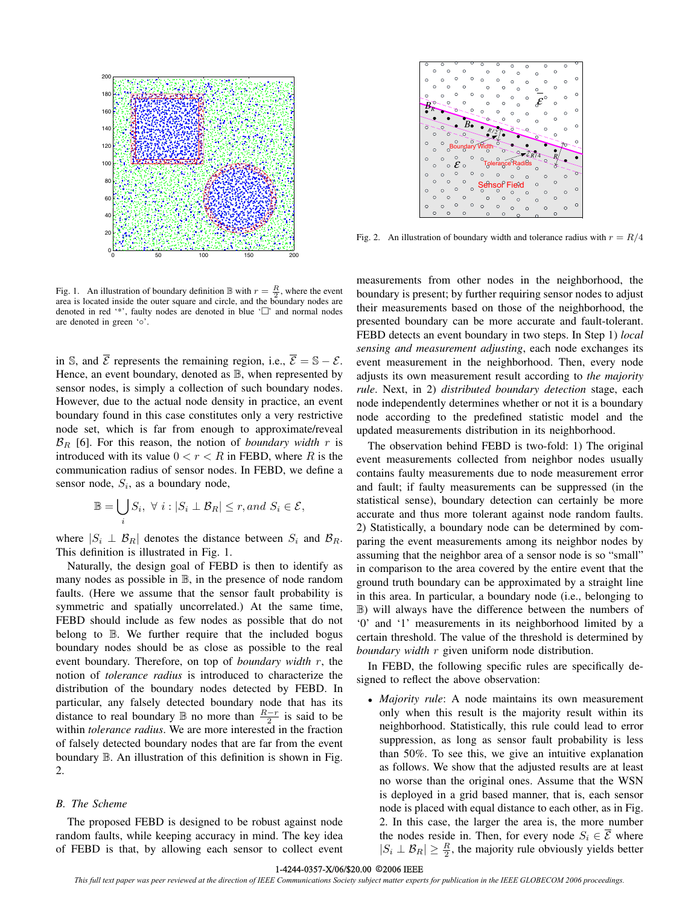

Fig. 1. An illustration of boundary definition  $\mathbb{B}$  with  $r = \frac{R}{2}$ , where the event area is located inside the outer square and circle, and the boundary nodes are denoted in red '\*', faulty nodes are denoted in blue  $\Box$ ' and normal nodes are denoted in green '◦'.

in S, and  $\overline{\mathcal{E}}$  represents the remaining region, i.e.,  $\overline{\mathcal{E}} = \mathbb{S} - \mathcal{E}$ . Hence, an event boundary, denoted as  $\mathbb B$ , when represented by sensor nodes, is simply a collection of such boundary nodes. However, due to the actual node density in practice, an event boundary found in this case constitutes only a very restrictive node set, which is far from enough to approximate/reveal  $\mathcal{B}_R$  [6]. For this reason, the notion of *boundary width* r is introduced with its value  $0 < r < R$  in FEBD, where R is the communication radius of sensor nodes. In FEBD, we define a sensor node,  $S_i$ , as a boundary node,

$$
\mathbb{B} = \bigcup_{i} S_i, \ \forall \ i : |S_i \perp \mathcal{B}_R| \le r, and \ S_i \in \mathcal{E},
$$

where  $|S_i \perp \mathcal{B}_R|$  denotes the distance between  $S_i$  and  $\mathcal{B}_R$ . This definition is illustrated in Fig. 1.

Naturally, the design goal of FEBD is then to identify as many nodes as possible in  $\mathbb{B}$ , in the presence of node random faults. (Here we assume that the sensor fault probability is symmetric and spatially uncorrelated.) At the same time, FEBD should include as few nodes as possible that do not belong to B. We further require that the included bogus boundary nodes should be as close as possible to the real event boundary. Therefore, on top of *boundary width* r, the notion of *tolerance radius* is introduced to characterize the distribution of the boundary nodes detected by FEBD. In particular, any falsely detected boundary node that has its distance to real boundary  $\mathbb B$  no more than  $\frac{R-r}{2}$  is said to be within *tolerance radius*. We are more interested in the fraction of falsely detected boundary nodes that are far from the event boundary B. An illustration of this definition is shown in Fig. 2.

# *B. The Scheme*

The proposed FEBD is designed to be robust against node random faults, while keeping accuracy in mind. The key idea of FEBD is that, by allowing each sensor to collect event



Fig. 2. An illustration of boundary width and tolerance radius with  $r = R/4$ 

measurements from other nodes in the neighborhood, the boundary is present; by further requiring sensor nodes to adjust their measurements based on those of the neighborhood, the presented boundary can be more accurate and fault-tolerant. FEBD detects an event boundary in two steps. In Step 1) *local sensing and measurement adjusting*, each node exchanges its event measurement in the neighborhood. Then, every node adjusts its own measurement result according to *the majority rule*. Next, in 2) *distributed boundary detection* stage, each node independently determines whether or not it is a boundary node according to the predefined statistic model and the updated measurements distribution in its neighborhood.

The observation behind FEBD is two-fold: 1) The original event measurements collected from neighbor nodes usually contains faulty measurements due to node measurement error and fault; if faulty measurements can be suppressed (in the statistical sense), boundary detection can certainly be more accurate and thus more tolerant against node random faults. 2) Statistically, a boundary node can be determined by comparing the event measurements among its neighbor nodes by assuming that the neighbor area of a sensor node is so "small" in comparison to the area covered by the entire event that the ground truth boundary can be approximated by a straight line in this area. In particular, a boundary node (i.e., belonging to B) will always have the difference between the numbers of '0' and '1' measurements in its neighborhood limited by a certain threshold. The value of the threshold is determined by *boundary width* r given uniform node distribution.

In FEBD, the following specific rules are specifically designed to reflect the above observation:

• *Majority rule*: A node maintains its own measurement only when this result is the majority result within its neighborhood. Statistically, this rule could lead to error suppression, as long as sensor fault probability is less than 50%. To see this, we give an intuitive explanation as follows. We show that the adjusted results are at least no worse than the original ones. Assume that the WSN is deployed in a grid based manner, that is, each sensor node is placed with equal distance to each other, as in Fig. 2. In this case, the larger the area is, the more number the nodes reside in. Then, for every node  $S_i \in \overline{\mathcal{E}}$  where  $|S_i \perp \mathcal{B}_R| \geq \frac{R}{2}$ , the majority rule obviously yields better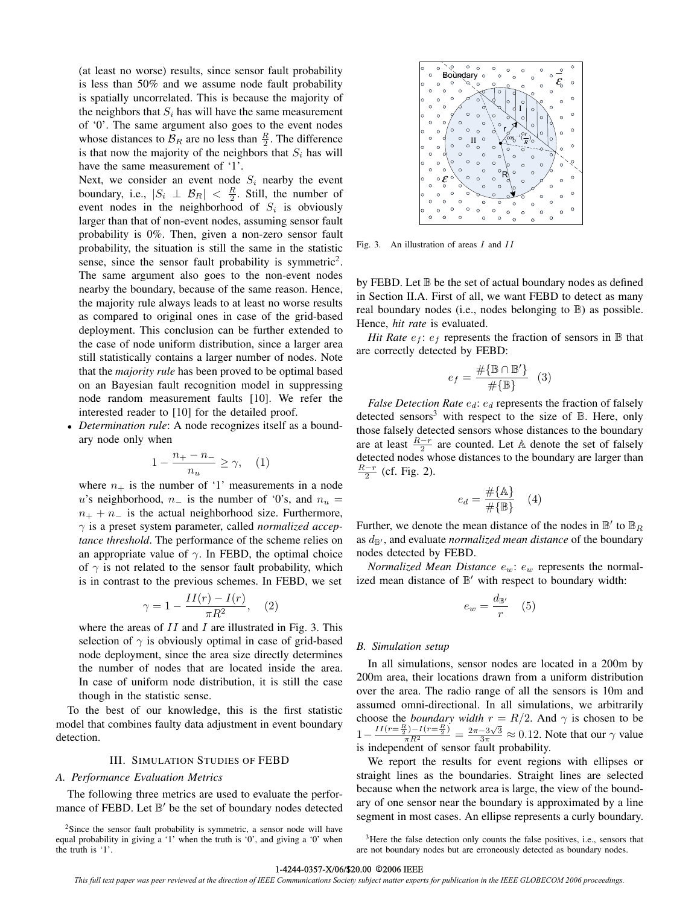(at least no worse) results, since sensor fault probability is less than 50% and we assume node fault probability is spatially uncorrelated. This is because the majority of the neighbors that  $S_i$  has will have the same measurement of '0'. The same argument also goes to the event nodes whose distances to  $\mathcal{B}_R$  are no less than  $\frac{R}{2}$ . The difference is that now the majority of the neighbors that  $S_i$  has will have the same measurement of '1'.

Next, we consider an event node  $S_i$  nearby the event boundary, i.e.,  $|S_i| \perp \mathcal{B}_R| < \frac{R}{2}$ . Still, the number of event nodes in the neighborhood of  $S_i$  is obviously larger than that of non-event nodes, assuming sensor fault probability is 0%. Then, given a non-zero sensor fault probability, the situation is still the same in the statistic sense, since the sensor fault probability is symmetric<sup>2</sup>. The same argument also goes to the non-event nodes nearby the boundary, because of the same reason. Hence, the majority rule always leads to at least no worse results as compared to original ones in case of the grid-based deployment. This conclusion can be further extended to the case of node uniform distribution, since a larger area still statistically contains a larger number of nodes. Note that the *majority rule* has been proved to be optimal based on an Bayesian fault recognition model in suppressing node random measurement faults [10]. We refer the interested reader to [10] for the detailed proof.

• *Determination rule*: A node recognizes itself as a boundary node only when

$$
1 - \frac{n_+ - n_-}{n_u} \ge \gamma, \quad (1)
$$

where  $n_+$  is the number of '1' measurements in a node u's neighborhood,  $n_$  is the number of '0's, and  $n_u$  =  $n_{+} + n_{-}$  is the actual neighborhood size. Furthermore, γ is a preset system parameter, called *normalized acceptance threshold*. The performance of the scheme relies on an appropriate value of  $\gamma$ . In FEBD, the optimal choice of  $\gamma$  is not related to the sensor fault probability, which is in contrast to the previous schemes. In FEBD, we set

$$
\gamma = 1 - \frac{II(r) - I(r)}{\pi R^2}, \quad (2)
$$

where the areas of  $II$  and  $I$  are illustrated in Fig. 3. This selection of  $\gamma$  is obviously optimal in case of grid-based node deployment, since the area size directly determines the number of nodes that are located inside the area. In case of uniform node distribution, it is still the case though in the statistic sense.

To the best of our knowledge, this is the first statistic model that combines faulty data adjustment in event boundary detection.

# III. SIMULATION STUDIES OF FEBD

## *A. Performance Evaluation Metrics*

The following three metrics are used to evaluate the performance of FEBD. Let  $\mathbb{B}'$  be the set of boundary nodes detected

 $2$ Since the sensor fault probability is symmetric, a sensor node will have equal probability in giving a '1' when the truth is '0', and giving a '0' when the truth is '1'.



Fig. 3. An illustration of areas *I* and *II*

by FEBD. Let  $\mathbb B$  be the set of actual boundary nodes as defined in Section II.A. First of all, we want FEBD to detect as many real boundary nodes (i.e., nodes belonging to B) as possible. Hence, *hit rate* is evaluated.

*Hit Rate*  $e_f$ :  $e_f$  represents the fraction of sensors in  $\mathbb B$  that are correctly detected by FEBD:

$$
e_f = \frac{\#\{\mathbb{B} \cap \mathbb{B}'\}}{\#\{\mathbb{B}\}} \quad (3)
$$

*False Detection Rate*  $e_d$ :  $e_d$  represents the fraction of falsely detected sensors<sup>3</sup> with respect to the size of  $\mathbb B$ . Here, only those falsely detected sensors whose distances to the boundary are at least  $\frac{R-r}{2}$  are counted. Let A denote the set of falsely detected nodes whose distances to the boundary are larger than  $rac{R-r}{2}$  (cf. Fig. 2).

$$
e_d = \frac{\#\{\mathbb{A}\}}{\#\{\mathbb{B}\}} \quad (4)
$$

Further, we denote the mean distance of the nodes in  $\mathbb{B}'$  to  $\mathbb{B}_R$ as  $d_{\mathbb{B}}$ , and evaluate *normalized mean distance* of the boundary nodes detected by FEBD.

*Normalized Mean Distance*  $e_w$ :  $e_w$  represents the normalized mean distance of  $\mathbb{B}'$  with respect to boundary width:

$$
e_w = \frac{d_{\mathbb{B}'} }{r} \quad (5)
$$

# *B. Simulation setup*

In all simulations, sensor nodes are located in a 200m by 200m area, their locations drawn from a uniform distribution over the area. The radio range of all the sensors is 10m and assumed omni-directional. In all simulations, we arbitrarily choose the *boundary width*  $r = R/2$ . And  $\gamma$  is chosen to be  $1-\frac{II(r=\frac{R}{2})-I(r=\frac{R}{2})}{\pi R^2}=\frac{2\pi-3\sqrt{3}}{3\pi}\approx 0.12$ . Note that our  $\gamma$  value is independent of sensor fault probability.

We report the results for event regions with ellipses or straight lines as the boundaries. Straight lines are selected because when the network area is large, the view of the boundary of one sensor near the boundary is approximated by a line segment in most cases. An ellipse represents a curly boundary.

<sup>3</sup>Here the false detection only counts the false positives, i.e., sensors that are not boundary nodes but are erroneously detected as boundary nodes.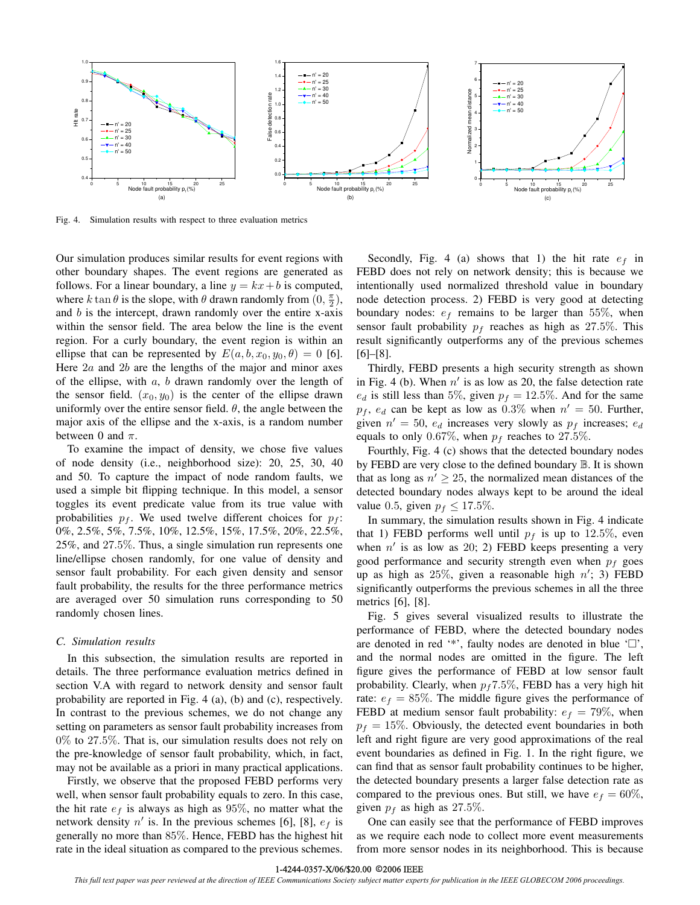

Fig. 4. Simulation results with respect to three evaluation metrics

Our simulation produces similar results for event regions with other boundary shapes. The event regions are generated as follows. For a linear boundary, a line  $y = kx + b$  is computed, where k tan  $\theta$  is the slope, with  $\theta$  drawn randomly from  $(0, \frac{\pi}{2})$ , and  $b$  is the intercept, drawn randomly over the entire x-axis within the sensor field. The area below the line is the event region. For a curly boundary, the event region is within an ellipse that can be represented by  $E(a, b, x_0, y_0, \theta) = 0$  [6]. Here  $2a$  and  $2b$  are the lengths of the major and minor axes of the ellipse, with  $a, b$  drawn randomly over the length of the sensor field.  $(x_0, y_0)$  is the center of the ellipse drawn uniformly over the entire sensor field.  $\theta$ , the angle between the major axis of the ellipse and the x-axis, is a random number between 0 and  $\pi$ .

To examine the impact of density, we chose five values of node density (i.e., neighborhood size): 20, 25, 30, 40 and 50. To capture the impact of node random faults, we used a simple bit flipping technique. In this model, a sensor toggles its event predicate value from its true value with probabilities  $p_f$ . We used twelve different choices for  $p_f$ : 0%, 2.5%, 5%, 7.5%, 10%, 12.5%, 15%, 17.5%, 20%, 22.5%, 25%, and 27.5%. Thus, a single simulation run represents one line/ellipse chosen randomly, for one value of density and sensor fault probability. For each given density and sensor fault probability, the results for the three performance metrics are averaged over 50 simulation runs corresponding to 50 randomly chosen lines.

## *C. Simulation results*

In this subsection, the simulation results are reported in details. The three performance evaluation metrics defined in section V.A with regard to network density and sensor fault probability are reported in Fig. 4 (a), (b) and (c), respectively. In contrast to the previous schemes, we do not change any setting on parameters as sensor fault probability increases from 0% to 27.5%. That is, our simulation results does not rely on the pre-knowledge of sensor fault probability, which, in fact, may not be available as a priori in many practical applications.

Firstly, we observe that the proposed FEBD performs very well, when sensor fault probability equals to zero. In this case, the hit rate  $e_f$  is always as high as 95%, no matter what the network density  $n'$  is. In the previous schemes [6], [8],  $e_f$  is generally no more than 85%. Hence, FEBD has the highest hit rate in the ideal situation as compared to the previous schemes.

Secondly, Fig. 4 (a) shows that 1) the hit rate  $e_f$  in FEBD does not rely on network density; this is because we intentionally used normalized threshold value in boundary node detection process. 2) FEBD is very good at detecting boundary nodes:  $e_f$  remains to be larger than 55%, when sensor fault probability  $p_f$  reaches as high as 27.5%. This result significantly outperforms any of the previous schemes [6]–[8].

Thirdly, FEBD presents a high security strength as shown in Fig. 4 (b). When  $n'$  is as low as 20, the false detection rate  $e_d$  is still less than 5%, given  $p_f = 12.5\%$ . And for the same  $p_f$ ,  $e_d$  can be kept as low as 0.3% when  $n' = 50$ . Further, given  $n' = 50$ ,  $e_d$  increases very slowly as  $p_f$  increases;  $e_d$ equals to only 0.67%, when  $p_f$  reaches to 27.5%.

Fourthly, Fig. 4 (c) shows that the detected boundary nodes by FEBD are very close to the defined boundary B. It is shown that as long as  $n' \geq 25$ , the normalized mean distances of the detected boundary nodes always kept to be around the ideal value 0.5, given  $p_f \le 17.5\%$ .

In summary, the simulation results shown in Fig. 4 indicate that 1) FEBD performs well until  $p_f$  is up to 12.5%, even when  $n'$  is as low as 20; 2) FEBD keeps presenting a very good performance and security strength even when  $p_f$  goes up as high as  $25\%$ , given a reasonable high  $n'$ ; 3) FEBD significantly outperforms the previous schemes in all the three metrics [6], [8].

Fig. 5 gives several visualized results to illustrate the performance of FEBD, where the detected boundary nodes are denoted in red '\*', faulty nodes are denoted in blue  $\Box$ ', and the normal nodes are omitted in the figure. The left figure gives the performance of FEBD at low sensor fault probability. Clearly, when  $p_f 7.5\%$ , FEBD has a very high hit rate:  $e_f = 85\%$ . The middle figure gives the performance of FEBD at medium sensor fault probability:  $e_f = 79\%$ , when  $p_f = 15\%$ . Obviously, the detected event boundaries in both left and right figure are very good approximations of the real event boundaries as defined in Fig. 1. In the right figure, we can find that as sensor fault probability continues to be higher, the detected boundary presents a larger false detection rate as compared to the previous ones. But still, we have  $e_f = 60\%$ , given  $p_f$  as high as 27.5%.

One can easily see that the performance of FEBD improves as we require each node to collect more event measurements from more sensor nodes in its neighborhood. This is because